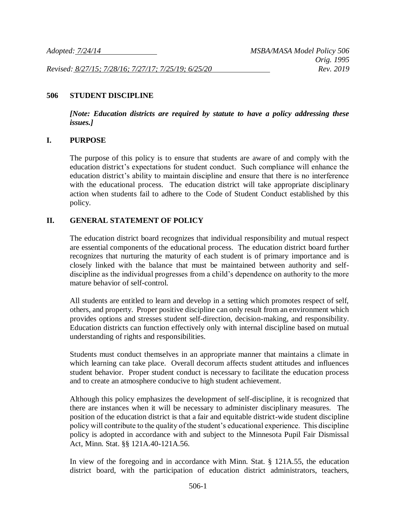*Revised: 8/27/15; 7/28/16; 7/27/17; 7/25/19; 6/25/20 Rev. 2019*

#### **506 STUDENT DISCIPLINE**

*[Note: Education districts are required by statute to have a policy addressing these issues.]*

#### **I. PURPOSE**

The purpose of this policy is to ensure that students are aware of and comply with the education district's expectations for student conduct. Such compliance will enhance the education district's ability to maintain discipline and ensure that there is no interference with the educational process. The education district will take appropriate disciplinary action when students fail to adhere to the Code of Student Conduct established by this policy.

#### **II. GENERAL STATEMENT OF POLICY**

The education district board recognizes that individual responsibility and mutual respect are essential components of the educational process. The education district board further recognizes that nurturing the maturity of each student is of primary importance and is closely linked with the balance that must be maintained between authority and selfdiscipline as the individual progresses from a child's dependence on authority to the more mature behavior of self-control.

All students are entitled to learn and develop in a setting which promotes respect of self, others, and property. Proper positive discipline can only result from an environment which provides options and stresses student self-direction, decision-making, and responsibility. Education districts can function effectively only with internal discipline based on mutual understanding of rights and responsibilities.

Students must conduct themselves in an appropriate manner that maintains a climate in which learning can take place. Overall decorum affects student attitudes and influences student behavior. Proper student conduct is necessary to facilitate the education process and to create an atmosphere conducive to high student achievement.

Although this policy emphasizes the development of self-discipline, it is recognized that there are instances when it will be necessary to administer disciplinary measures. The position of the education district is that a fair and equitable district-wide student discipline policy will contribute to the quality of the student's educational experience. This discipline policy is adopted in accordance with and subject to the Minnesota Pupil Fair Dismissal Act, Minn. Stat. §§ 121A.40-121A.56.

In view of the foregoing and in accordance with Minn. Stat. § 121A.55, the education district board, with the participation of education district administrators, teachers,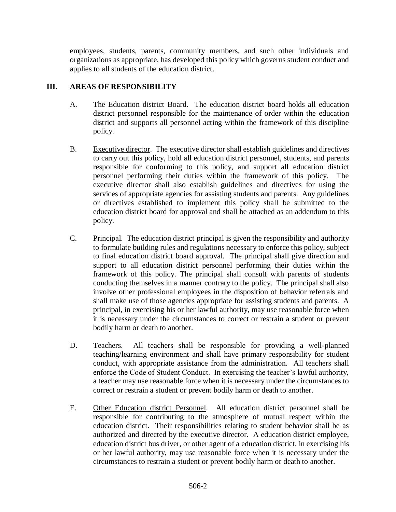employees, students, parents, community members, and such other individuals and organizations as appropriate, has developed this policy which governs student conduct and applies to all students of the education district.

# **III. AREAS OF RESPONSIBILITY**

- A. The Education district Board. The education district board holds all education district personnel responsible for the maintenance of order within the education district and supports all personnel acting within the framework of this discipline policy.
- B. Executive director. The executive director shall establish guidelines and directives to carry out this policy, hold all education district personnel, students, and parents responsible for conforming to this policy, and support all education district personnel performing their duties within the framework of this policy. The executive director shall also establish guidelines and directives for using the services of appropriate agencies for assisting students and parents. Any guidelines or directives established to implement this policy shall be submitted to the education district board for approval and shall be attached as an addendum to this policy.
- C. Principal. The education district principal is given the responsibility and authority to formulate building rules and regulations necessary to enforce this policy, subject to final education district board approval. The principal shall give direction and support to all education district personnel performing their duties within the framework of this policy. The principal shall consult with parents of students conducting themselves in a manner contrary to the policy. The principal shall also involve other professional employees in the disposition of behavior referrals and shall make use of those agencies appropriate for assisting students and parents. A principal, in exercising his or her lawful authority, may use reasonable force when it is necessary under the circumstances to correct or restrain a student or prevent bodily harm or death to another.
- D. Teachers. All teachers shall be responsible for providing a well-planned teaching/learning environment and shall have primary responsibility for student conduct, with appropriate assistance from the administration. All teachers shall enforce the Code of Student Conduct. In exercising the teacher's lawful authority, a teacher may use reasonable force when it is necessary under the circumstances to correct or restrain a student or prevent bodily harm or death to another.
- E. Other Education district Personnel. All education district personnel shall be responsible for contributing to the atmosphere of mutual respect within the education district. Their responsibilities relating to student behavior shall be as authorized and directed by the executive director. A education district employee, education district bus driver, or other agent of a education district, in exercising his or her lawful authority, may use reasonable force when it is necessary under the circumstances to restrain a student or prevent bodily harm or death to another.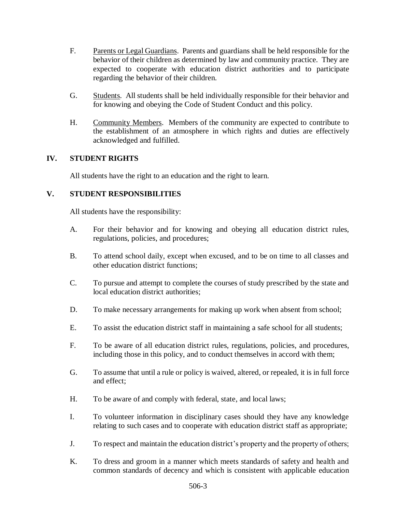- F. Parents or Legal Guardians. Parents and guardians shall be held responsible for the behavior of their children as determined by law and community practice. They are expected to cooperate with education district authorities and to participate regarding the behavior of their children.
- G. Students. All students shall be held individually responsible for their behavior and for knowing and obeying the Code of Student Conduct and this policy.
- H. Community Members. Members of the community are expected to contribute to the establishment of an atmosphere in which rights and duties are effectively acknowledged and fulfilled.

## **IV. STUDENT RIGHTS**

All students have the right to an education and the right to learn.

# **V. STUDENT RESPONSIBILITIES**

All students have the responsibility:

- A. For their behavior and for knowing and obeying all education district rules, regulations, policies, and procedures;
- B. To attend school daily, except when excused, and to be on time to all classes and other education district functions;
- C. To pursue and attempt to complete the courses of study prescribed by the state and local education district authorities;
- D. To make necessary arrangements for making up work when absent from school;
- E. To assist the education district staff in maintaining a safe school for all students;
- F. To be aware of all education district rules, regulations, policies, and procedures, including those in this policy, and to conduct themselves in accord with them;
- G. To assume that until a rule or policy is waived, altered, or repealed, it is in full force and effect;
- H. To be aware of and comply with federal, state, and local laws;
- I. To volunteer information in disciplinary cases should they have any knowledge relating to such cases and to cooperate with education district staff as appropriate;
- J. To respect and maintain the education district's property and the property of others;
- K. To dress and groom in a manner which meets standards of safety and health and common standards of decency and which is consistent with applicable education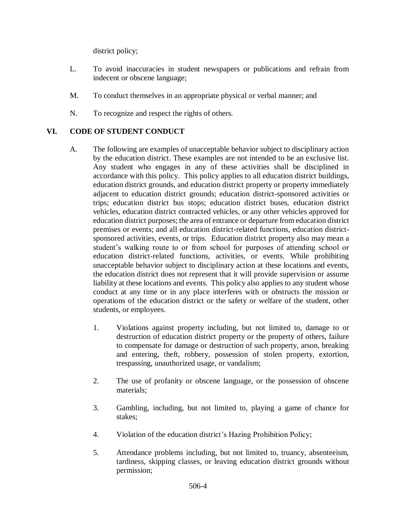district policy;

- L. To avoid inaccuracies in student newspapers or publications and refrain from indecent or obscene language;
- M. To conduct themselves in an appropriate physical or verbal manner; and
- N. To recognize and respect the rights of others.

# **VI. CODE OF STUDENT CONDUCT**

- A. The following are examples of unacceptable behavior subject to disciplinary action by the education district. These examples are not intended to be an exclusive list. Any student who engages in any of these activities shall be disciplined in accordance with this policy. This policy applies to all education district buildings, education district grounds, and education district property or property immediately adjacent to education district grounds; education district-sponsored activities or trips; education district bus stops; education district buses, education district vehicles, education district contracted vehicles, or any other vehicles approved for education district purposes; the area of entrance or departure from education district premises or events; and all education district-related functions, education districtsponsored activities, events, or trips. Education district property also may mean a student's walking route to or from school for purposes of attending school or education district-related functions, activities, or events. While prohibiting unacceptable behavior subject to disciplinary action at these locations and events, the education district does not represent that it will provide supervision or assume liability at these locations and events. This policy also applies to any student whose conduct at any time or in any place interferes with or obstructs the mission or operations of the education district or the safety or welfare of the student, other students, or employees.
	- 1. Violations against property including, but not limited to, damage to or destruction of education district property or the property of others, failure to compensate for damage or destruction of such property, arson, breaking and entering, theft, robbery, possession of stolen property, extortion, trespassing, unauthorized usage, or vandalism;
	- 2. The use of profanity or obscene language, or the possession of obscene materials;
	- 3. Gambling, including, but not limited to, playing a game of chance for stakes;
	- 4. Violation of the education district's Hazing Prohibition Policy;
	- 5. Attendance problems including, but not limited to, truancy, absenteeism, tardiness, skipping classes, or leaving education district grounds without permission;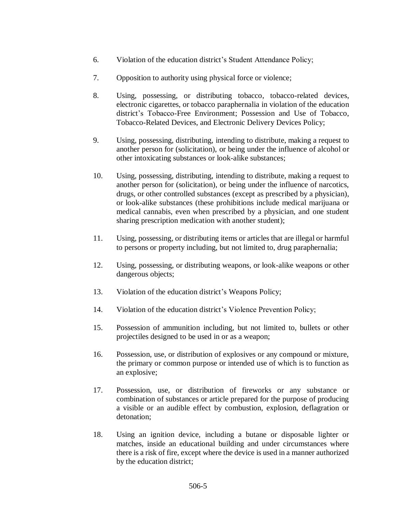- 6. Violation of the education district's Student Attendance Policy;
- 7. Opposition to authority using physical force or violence;
- 8. Using, possessing, or distributing tobacco, tobacco-related devices, electronic cigarettes, or tobacco paraphernalia in violation of the education district's Tobacco-Free Environment; Possession and Use of Tobacco, Tobacco-Related Devices, and Electronic Delivery Devices Policy;
- 9. Using, possessing, distributing, intending to distribute, making a request to another person for (solicitation), or being under the influence of alcohol or other intoxicating substances or look-alike substances;
- 10. Using, possessing, distributing, intending to distribute, making a request to another person for (solicitation), or being under the influence of narcotics, drugs, or other controlled substances (except as prescribed by a physician), or look-alike substances (these prohibitions include medical marijuana or medical cannabis, even when prescribed by a physician, and one student sharing prescription medication with another student);
- 11. Using, possessing, or distributing items or articles that are illegal or harmful to persons or property including, but not limited to, drug paraphernalia;
- 12. Using, possessing, or distributing weapons, or look-alike weapons or other dangerous objects;
- 13. Violation of the education district's Weapons Policy;
- 14. Violation of the education district's Violence Prevention Policy;
- 15. Possession of ammunition including, but not limited to, bullets or other projectiles designed to be used in or as a weapon;
- 16. Possession, use, or distribution of explosives or any compound or mixture, the primary or common purpose or intended use of which is to function as an explosive;
- 17. Possession, use, or distribution of fireworks or any substance or combination of substances or article prepared for the purpose of producing a visible or an audible effect by combustion, explosion, deflagration or detonation;
- 18. Using an ignition device, including a butane or disposable lighter or matches, inside an educational building and under circumstances where there is a risk of fire, except where the device is used in a manner authorized by the education district;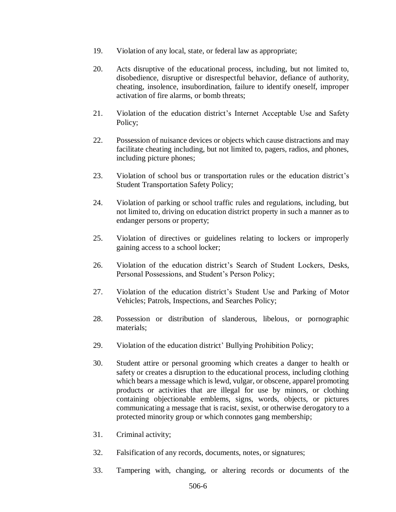- 19. Violation of any local, state, or federal law as appropriate;
- 20. Acts disruptive of the educational process, including, but not limited to, disobedience, disruptive or disrespectful behavior, defiance of authority, cheating, insolence, insubordination, failure to identify oneself, improper activation of fire alarms, or bomb threats;
- 21. Violation of the education district's Internet Acceptable Use and Safety Policy;
- 22. Possession of nuisance devices or objects which cause distractions and may facilitate cheating including, but not limited to, pagers, radios, and phones, including picture phones;
- 23. Violation of school bus or transportation rules or the education district's Student Transportation Safety Policy;
- 24. Violation of parking or school traffic rules and regulations, including, but not limited to, driving on education district property in such a manner as to endanger persons or property;
- 25. Violation of directives or guidelines relating to lockers or improperly gaining access to a school locker;
- 26. Violation of the education district's Search of Student Lockers, Desks, Personal Possessions, and Student's Person Policy;
- 27. Violation of the education district's Student Use and Parking of Motor Vehicles; Patrols, Inspections, and Searches Policy;
- 28. Possession or distribution of slanderous, libelous, or pornographic materials;
- 29. Violation of the education district' Bullying Prohibition Policy;
- 30. Student attire or personal grooming which creates a danger to health or safety or creates a disruption to the educational process, including clothing which bears a message which is lewd, vulgar, or obscene, apparel promoting products or activities that are illegal for use by minors, or clothing containing objectionable emblems, signs, words, objects, or pictures communicating a message that is racist, sexist, or otherwise derogatory to a protected minority group or which connotes gang membership;
- 31. Criminal activity;
- 32. Falsification of any records, documents, notes, or signatures;
- 33. Tampering with, changing, or altering records or documents of the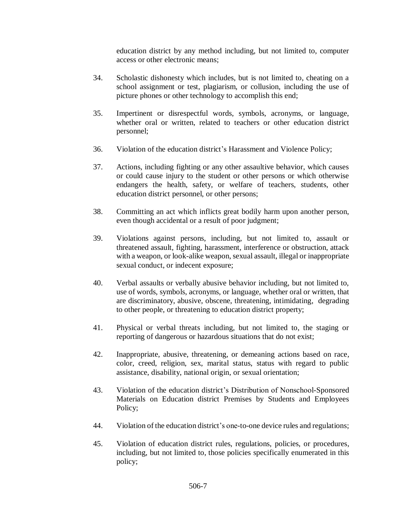education district by any method including, but not limited to, computer access or other electronic means;

- 34. Scholastic dishonesty which includes, but is not limited to, cheating on a school assignment or test, plagiarism, or collusion, including the use of picture phones or other technology to accomplish this end;
- 35. Impertinent or disrespectful words, symbols, acronyms, or language, whether oral or written, related to teachers or other education district personnel;
- 36. Violation of the education district's Harassment and Violence Policy;
- 37. Actions, including fighting or any other assaultive behavior, which causes or could cause injury to the student or other persons or which otherwise endangers the health, safety, or welfare of teachers, students, other education district personnel, or other persons;
- 38. Committing an act which inflicts great bodily harm upon another person, even though accidental or a result of poor judgment;
- 39. Violations against persons, including, but not limited to, assault or threatened assault, fighting, harassment, interference or obstruction, attack with a weapon, or look-alike weapon, sexual assault, illegal or inappropriate sexual conduct, or indecent exposure;
- 40. Verbal assaults or verbally abusive behavior including, but not limited to, use of words, symbols, acronyms, or language, whether oral or written, that are discriminatory, abusive, obscene, threatening, intimidating, degrading to other people, or threatening to education district property;
- 41. Physical or verbal threats including, but not limited to, the staging or reporting of dangerous or hazardous situations that do not exist;
- 42. Inappropriate, abusive, threatening, or demeaning actions based on race, color, creed, religion, sex, marital status, status with regard to public assistance, disability, national origin, or sexual orientation;
- 43. Violation of the education district's Distribution of Nonschool-Sponsored Materials on Education district Premises by Students and Employees Policy;
- 44. Violation of the education district's one-to-one device rules and regulations;
- 45. Violation of education district rules, regulations, policies, or procedures, including, but not limited to, those policies specifically enumerated in this policy;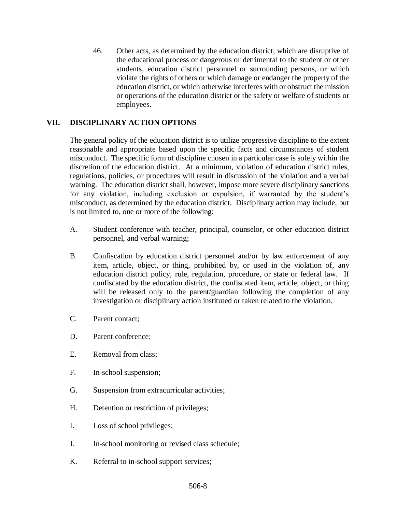46. Other acts, as determined by the education district, which are disruptive of the educational process or dangerous or detrimental to the student or other students, education district personnel or surrounding persons, or which violate the rights of others or which damage or endanger the property of the education district, or which otherwise interferes with or obstruct the mission or operations of the education district or the safety or welfare of students or employees.

# **VII. DISCIPLINARY ACTION OPTIONS**

The general policy of the education district is to utilize progressive discipline to the extent reasonable and appropriate based upon the specific facts and circumstances of student misconduct. The specific form of discipline chosen in a particular case is solely within the discretion of the education district. At a minimum, violation of education district rules, regulations, policies, or procedures will result in discussion of the violation and a verbal warning. The education district shall, however, impose more severe disciplinary sanctions for any violation, including exclusion or expulsion, if warranted by the student's misconduct, as determined by the education district. Disciplinary action may include, but is not limited to, one or more of the following:

- A. Student conference with teacher, principal, counselor, or other education district personnel, and verbal warning;
- B. Confiscation by education district personnel and/or by law enforcement of any item, article, object, or thing, prohibited by, or used in the violation of, any education district policy, rule, regulation, procedure, or state or federal law. If confiscated by the education district, the confiscated item, article, object, or thing will be released only to the parent/guardian following the completion of any investigation or disciplinary action instituted or taken related to the violation.
- C. Parent contact;
- D. Parent conference;
- E. Removal from class;
- F. In-school suspension;
- G. Suspension from extracurricular activities;
- H. Detention or restriction of privileges;
- I. Loss of school privileges;
- J. In-school monitoring or revised class schedule;
- K. Referral to in-school support services;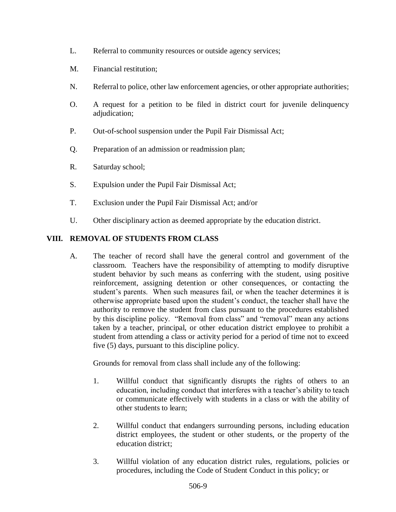- L. Referral to community resources or outside agency services;
- M. Financial restitution;
- N. Referral to police, other law enforcement agencies, or other appropriate authorities;
- O. A request for a petition to be filed in district court for juvenile delinquency adjudication;
- P. Out-of-school suspension under the Pupil Fair Dismissal Act;
- Q. Preparation of an admission or readmission plan;
- R. Saturday school;
- S. Expulsion under the Pupil Fair Dismissal Act;
- T. Exclusion under the Pupil Fair Dismissal Act; and/or
- U. Other disciplinary action as deemed appropriate by the education district.

## **VIII. REMOVAL OF STUDENTS FROM CLASS**

A. The teacher of record shall have the general control and government of the classroom. Teachers have the responsibility of attempting to modify disruptive student behavior by such means as conferring with the student, using positive reinforcement, assigning detention or other consequences, or contacting the student's parents. When such measures fail, or when the teacher determines it is otherwise appropriate based upon the student's conduct, the teacher shall have the authority to remove the student from class pursuant to the procedures established by this discipline policy. "Removal from class" and "removal" mean any actions taken by a teacher, principal, or other education district employee to prohibit a student from attending a class or activity period for a period of time not to exceed five (5) days, pursuant to this discipline policy.

Grounds for removal from class shall include any of the following:

- 1. Willful conduct that significantly disrupts the rights of others to an education, including conduct that interferes with a teacher's ability to teach or communicate effectively with students in a class or with the ability of other students to learn;
- 2. Willful conduct that endangers surrounding persons, including education district employees, the student or other students, or the property of the education district;
- 3. Willful violation of any education district rules, regulations, policies or procedures, including the Code of Student Conduct in this policy; or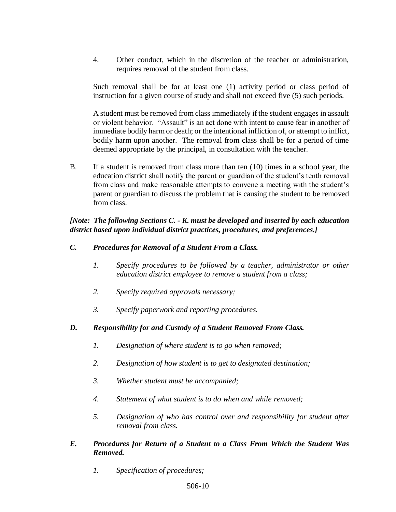4. Other conduct, which in the discretion of the teacher or administration, requires removal of the student from class.

Such removal shall be for at least one (1) activity period or class period of instruction for a given course of study and shall not exceed five (5) such periods.

A student must be removed from class immediately if the student engages in assault or violent behavior. "Assault" is an act done with intent to cause fear in another of immediate bodily harm or death; or the intentional infliction of, or attempt to inflict, bodily harm upon another. The removal from class shall be for a period of time deemed appropriate by the principal, in consultation with the teacher.

B. If a student is removed from class more than ten (10) times in a school year, the education district shall notify the parent or guardian of the student's tenth removal from class and make reasonable attempts to convene a meeting with the student's parent or guardian to discuss the problem that is causing the student to be removed from class.

## *[Note: The following Sections C. - K. must be developed and inserted by each education district based upon individual district practices, procedures, and preferences.]*

### *C. Procedures for Removal of a Student From a Class.*

- *1. Specify procedures to be followed by a teacher, administrator or other education district employee to remove a student from a class;*
- *2. Specify required approvals necessary;*
- *3. Specify paperwork and reporting procedures.*

## *D. Responsibility for and Custody of a Student Removed From Class.*

- *1. Designation of where student is to go when removed;*
- *2. Designation of how student is to get to designated destination;*
- *3. Whether student must be accompanied;*
- *4. Statement of what student is to do when and while removed;*
- *5. Designation of who has control over and responsibility for student after removal from class.*

### *E. Procedures for Return of a Student to a Class From Which the Student Was Removed.*

*1. Specification of procedures;*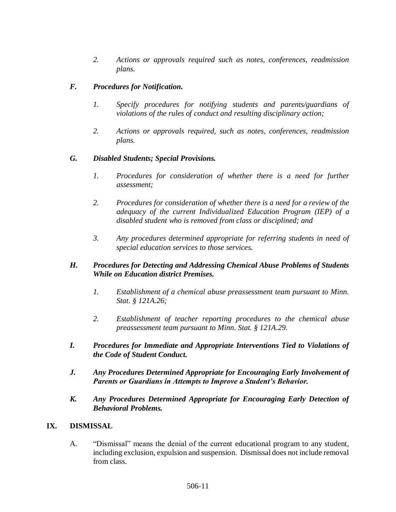*2. Actions or approvals required such as notes, conferences, readmission plans.*

### *F. Procedures for Notification.*

- *1. Specify procedures for notifying students and parents/guardians of violations of the rules of conduct and resulting disciplinary action;*
- *2. Actions or approvals required, such as notes, conferences, readmission plans.*

#### *G. Disabled Students; Special Provisions.*

- *1.* Procedures for consideration of whether there is a need for further *assessment;*
- *2. Procedures for consideration of whether there is a need for a review of the adequacy of the current Individualized Education Program (IEP) of a disabled student who is removed from class or disciplined; and*
- *3. Any procedures determined appropriate for referring students in need of special education services to those services.*

### *H. Procedures for Detecting and Addressing Chemical Abuse Problems of Students While on Education district Premises.*

- *1. Establishment of a chemical abuse preassessment team pursuant to Minn. Stat. § 121A.26;*
- *2. Establishment of teacher reporting procedures to the chemical abuse preassessment team pursuant to Minn. Stat. § 121A.29.*
- *I. Procedures for Immediate and Appropriate Interventions Tied to Violations of the Code of Student Conduct.*
- *J. Any Procedures Determined Appropriate for Encouraging Early Involvement of Parents or Guardians in Attempts to Improve a Student's Behavior.*
- *K. Any Procedures Determined Appropriate for Encouraging Early Detection of Behavioral Problems.*

#### **IX. DISMISSAL**

A. "Dismissal" means the denial of the current educational program to any student, including exclusion, expulsion and suspension. Dismissal does not include removal from class.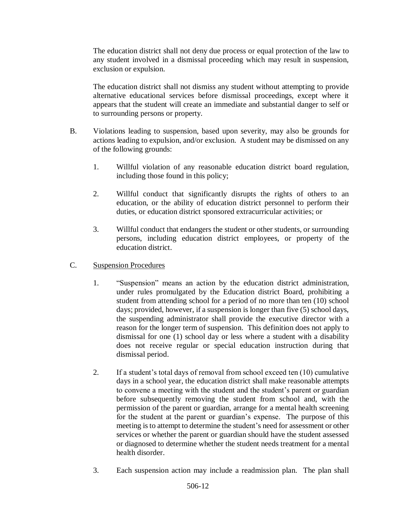The education district shall not deny due process or equal protection of the law to any student involved in a dismissal proceeding which may result in suspension, exclusion or expulsion.

The education district shall not dismiss any student without attempting to provide alternative educational services before dismissal proceedings, except where it appears that the student will create an immediate and substantial danger to self or to surrounding persons or property.

- B. Violations leading to suspension, based upon severity, may also be grounds for actions leading to expulsion, and/or exclusion. A student may be dismissed on any of the following grounds:
	- 1. Willful violation of any reasonable education district board regulation, including those found in this policy;
	- 2. Willful conduct that significantly disrupts the rights of others to an education, or the ability of education district personnel to perform their duties, or education district sponsored extracurricular activities; or
	- 3. Willful conduct that endangers the student or other students, or surrounding persons, including education district employees, or property of the education district.
- C. Suspension Procedures
	- 1. "Suspension" means an action by the education district administration, under rules promulgated by the Education district Board, prohibiting a student from attending school for a period of no more than ten (10) school days; provided, however, if a suspension is longer than five (5) school days, the suspending administrator shall provide the executive director with a reason for the longer term of suspension. This definition does not apply to dismissal for one (1) school day or less where a student with a disability does not receive regular or special education instruction during that dismissal period.
	- 2. If a student's total days of removal from school exceed ten (10) cumulative days in a school year, the education district shall make reasonable attempts to convene a meeting with the student and the student's parent or guardian before subsequently removing the student from school and, with the permission of the parent or guardian, arrange for a mental health screening for the student at the parent or guardian's expense. The purpose of this meeting is to attempt to determine the student's need for assessment or other services or whether the parent or guardian should have the student assessed or diagnosed to determine whether the student needs treatment for a mental health disorder.
	- 3. Each suspension action may include a readmission plan. The plan shall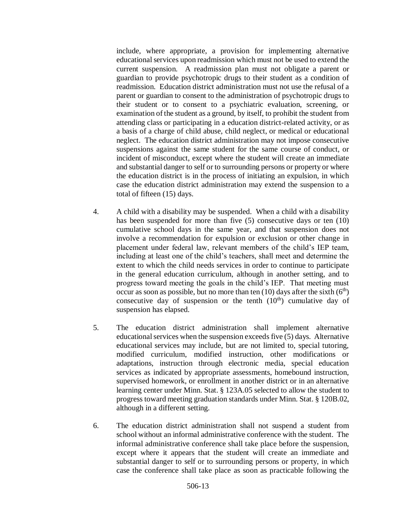include, where appropriate, a provision for implementing alternative educational services upon readmission which must not be used to extend the current suspension. A readmission plan must not obligate a parent or guardian to provide psychotropic drugs to their student as a condition of readmission. Education district administration must not use the refusal of a parent or guardian to consent to the administration of psychotropic drugs to their student or to consent to a psychiatric evaluation, screening, or examination of the student as a ground, by itself, to prohibit the student from attending class or participating in a education district-related activity, or as a basis of a charge of child abuse, child neglect, or medical or educational neglect. The education district administration may not impose consecutive suspensions against the same student for the same course of conduct, or incident of misconduct, except where the student will create an immediate and substantial danger to self or to surrounding persons or property or where the education district is in the process of initiating an expulsion, in which case the education district administration may extend the suspension to a total of fifteen (15) days.

- 4. A child with a disability may be suspended. When a child with a disability has been suspended for more than five (5) consecutive days or ten (10) cumulative school days in the same year, and that suspension does not involve a recommendation for expulsion or exclusion or other change in placement under federal law, relevant members of the child's IEP team, including at least one of the child's teachers, shall meet and determine the extent to which the child needs services in order to continue to participate in the general education curriculum, although in another setting, and to progress toward meeting the goals in the child's IEP. That meeting must occur as soon as possible, but no more than ten (10) days after the sixth  $(6<sup>th</sup>)$ consecutive day of suspension or the tenth  $(10<sup>th</sup>)$  cumulative day of suspension has elapsed.
- 5. The education district administration shall implement alternative educational services when the suspension exceeds five (5) days. Alternative educational services may include, but are not limited to, special tutoring, modified curriculum, modified instruction, other modifications or adaptations, instruction through electronic media, special education services as indicated by appropriate assessments, homebound instruction, supervised homework, or enrollment in another district or in an alternative learning center under Minn. Stat. § 123A.05 selected to allow the student to progress toward meeting graduation standards under Minn. Stat. § 120B.02, although in a different setting.
- 6. The education district administration shall not suspend a student from school without an informal administrative conference with the student. The informal administrative conference shall take place before the suspension, except where it appears that the student will create an immediate and substantial danger to self or to surrounding persons or property, in which case the conference shall take place as soon as practicable following the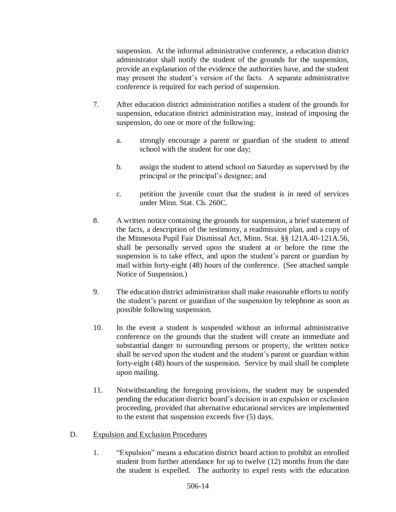suspension. At the informal administrative conference, a education district administrator shall notify the student of the grounds for the suspension, provide an explanation of the evidence the authorities have, and the student may present the student's version of the facts. A separate administrative conference is required for each period of suspension.

- 7. After education district administration notifies a student of the grounds for suspension, education district administration may, instead of imposing the suspension, do one or more of the following:
	- a. strongly encourage a parent or guardian of the student to attend school with the student for one day;
	- b. assign the student to attend school on Saturday as supervised by the principal or the principal's designee; and
	- c. petition the juvenile court that the student is in need of services under Minn. Stat. Ch. 260C.
- 8. A written notice containing the grounds for suspension, a brief statement of the facts, a description of the testimony, a readmission plan, and a copy of the Minnesota Pupil Fair Dismissal Act, Minn. Stat. §§ 121A.40-121A.56, shall be personally served upon the student at or before the time the suspension is to take effect, and upon the student's parent or guardian by mail within forty-eight (48) hours of the conference. (See attached sample Notice of Suspension.)
- 9. The education district administration shall make reasonable efforts to notify the student's parent or guardian of the suspension by telephone as soon as possible following suspension.
- 10. In the event a student is suspended without an informal administrative conference on the grounds that the student will create an immediate and substantial danger to surrounding persons or property, the written notice shall be served upon the student and the student's parent or guardian within forty-eight (48) hours of the suspension. Service by mail shall be complete upon mailing.
- 11. Notwithstanding the foregoing provisions, the student may be suspended pending the education district board's decision in an expulsion or exclusion proceeding, provided that alternative educational services are implemented to the extent that suspension exceeds five (5) days.
- D. Expulsion and Exclusion Procedures
	- 1. "Expulsion" means a education district board action to prohibit an enrolled student from further attendance for up to twelve (12) months from the date the student is expelled. The authority to expel rests with the education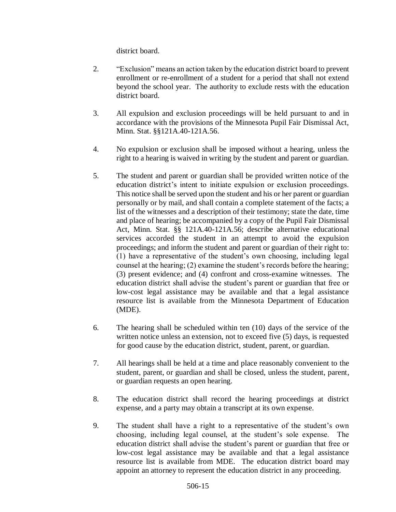district board.

- 2. "Exclusion" means an action taken by the education district board to prevent enrollment or re-enrollment of a student for a period that shall not extend beyond the school year. The authority to exclude rests with the education district board.
- 3. All expulsion and exclusion proceedings will be held pursuant to and in accordance with the provisions of the Minnesota Pupil Fair Dismissal Act, Minn. Stat. §§121A.40-121A.56.
- 4. No expulsion or exclusion shall be imposed without a hearing, unless the right to a hearing is waived in writing by the student and parent or guardian.
- 5. The student and parent or guardian shall be provided written notice of the education district's intent to initiate expulsion or exclusion proceedings. This notice shall be served upon the student and his or her parent or guardian personally or by mail, and shall contain a complete statement of the facts; a list of the witnesses and a description of their testimony; state the date, time and place of hearing; be accompanied by a copy of the Pupil Fair Dismissal Act, Minn. Stat. §§ 121A.40-121A.56; describe alternative educational services accorded the student in an attempt to avoid the expulsion proceedings; and inform the student and parent or guardian of their right to: (1) have a representative of the student's own choosing, including legal counsel at the hearing; (2) examine the student's records before the hearing; (3) present evidence; and (4) confront and cross-examine witnesses. The education district shall advise the student's parent or guardian that free or low-cost legal assistance may be available and that a legal assistance resource list is available from the Minnesota Department of Education (MDE).
- 6. The hearing shall be scheduled within ten (10) days of the service of the written notice unless an extension, not to exceed five (5) days, is requested for good cause by the education district, student, parent, or guardian.
- 7. All hearings shall be held at a time and place reasonably convenient to the student, parent, or guardian and shall be closed, unless the student, parent, or guardian requests an open hearing.
- 8. The education district shall record the hearing proceedings at district expense, and a party may obtain a transcript at its own expense.
- 9. The student shall have a right to a representative of the student's own choosing, including legal counsel, at the student's sole expense. The education district shall advise the student's parent or guardian that free or low-cost legal assistance may be available and that a legal assistance resource list is available from MDE. The education district board may appoint an attorney to represent the education district in any proceeding.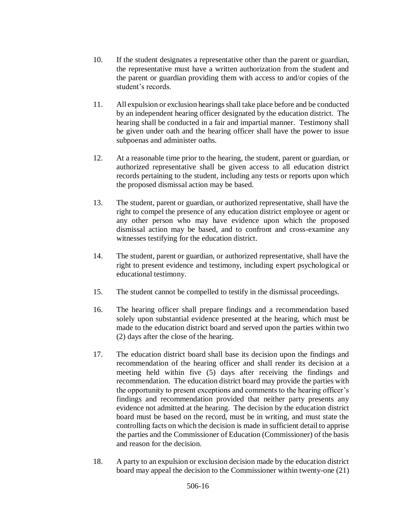- 10. If the student designates a representative other than the parent or guardian, the representative must have a written authorization from the student and the parent or guardian providing them with access to and/or copies of the student's records.
- 11. All expulsion or exclusion hearings shall take place before and be conducted by an independent hearing officer designated by the education district. The hearing shall be conducted in a fair and impartial manner. Testimony shall be given under oath and the hearing officer shall have the power to issue subpoenas and administer oaths.
- 12. At a reasonable time prior to the hearing, the student, parent or guardian, or authorized representative shall be given access to all education district records pertaining to the student, including any tests or reports upon which the proposed dismissal action may be based.
- 13. The student, parent or guardian, or authorized representative, shall have the right to compel the presence of any education district employee or agent or any other person who may have evidence upon which the proposed dismissal action may be based, and to confront and cross-examine any witnesses testifying for the education district.
- 14. The student, parent or guardian, or authorized representative, shall have the right to present evidence and testimony, including expert psychological or educational testimony.
- 15. The student cannot be compelled to testify in the dismissal proceedings.
- 16. The hearing officer shall prepare findings and a recommendation based solely upon substantial evidence presented at the hearing, which must be made to the education district board and served upon the parties within two (2) days after the close of the hearing.
- 17. The education district board shall base its decision upon the findings and recommendation of the hearing officer and shall render its decision at a meeting held within five (5) days after receiving the findings and recommendation. The education district board may provide the parties with the opportunity to present exceptions and comments to the hearing officer's findings and recommendation provided that neither party presents any evidence not admitted at the hearing. The decision by the education district board must be based on the record, must be in writing, and must state the controlling facts on which the decision is made in sufficient detail to apprise the parties and the Commissioner of Education (Commissioner) of the basis and reason for the decision.
- 18. A party to an expulsion or exclusion decision made by the education district board may appeal the decision to the Commissioner within twenty-one (21)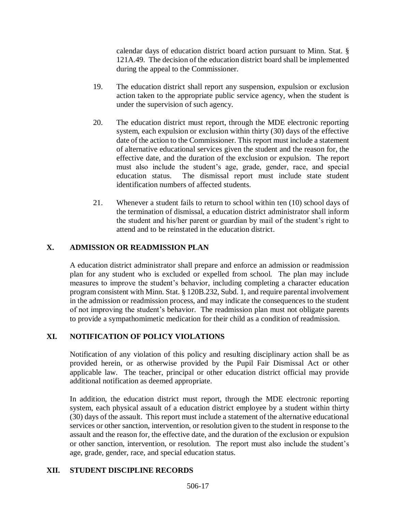calendar days of education district board action pursuant to Minn. Stat. § 121A.49. The decision of the education district board shall be implemented during the appeal to the Commissioner.

- 19. The education district shall report any suspension, expulsion or exclusion action taken to the appropriate public service agency, when the student is under the supervision of such agency.
- 20. The education district must report, through the MDE electronic reporting system, each expulsion or exclusion within thirty (30) days of the effective date of the action to the Commissioner. This report must include a statement of alternative educational services given the student and the reason for, the effective date, and the duration of the exclusion or expulsion. The report must also include the student's age, grade, gender, race, and special education status. The dismissal report must include state student identification numbers of affected students.
- 21. Whenever a student fails to return to school within ten (10) school days of the termination of dismissal, a education district administrator shall inform the student and his/her parent or guardian by mail of the student's right to attend and to be reinstated in the education district.

# **X. ADMISSION OR READMISSION PLAN**

A education district administrator shall prepare and enforce an admission or readmission plan for any student who is excluded or expelled from school. The plan may include measures to improve the student's behavior, including completing a character education program consistent with Minn. Stat. § 120B.232, Subd. 1, and require parental involvement in the admission or readmission process, and may indicate the consequences to the student of not improving the student's behavior. The readmission plan must not obligate parents to provide a sympathomimetic medication for their child as a condition of readmission.

# **XI. NOTIFICATION OF POLICY VIOLATIONS**

Notification of any violation of this policy and resulting disciplinary action shall be as provided herein, or as otherwise provided by the Pupil Fair Dismissal Act or other applicable law. The teacher, principal or other education district official may provide additional notification as deemed appropriate.

In addition, the education district must report, through the MDE electronic reporting system, each physical assault of a education district employee by a student within thirty (30) days of the assault. This report must include a statement of the alternative educational services or other sanction, intervention, or resolution given to the student in response to the assault and the reason for, the effective date, and the duration of the exclusion or expulsion or other sanction, intervention, or resolution. The report must also include the student's age, grade, gender, race, and special education status.

## **XII. STUDENT DISCIPLINE RECORDS**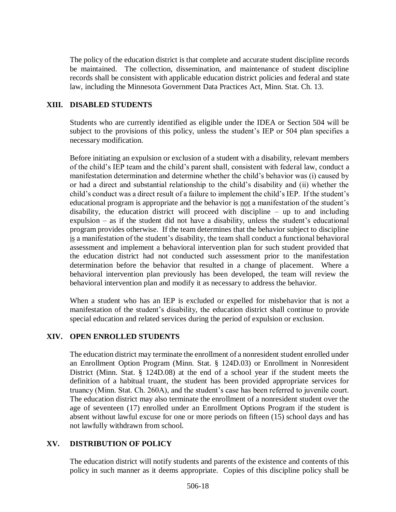The policy of the education district is that complete and accurate student discipline records be maintained. The collection, dissemination, and maintenance of student discipline records shall be consistent with applicable education district policies and federal and state law, including the Minnesota Government Data Practices Act, Minn. Stat. Ch. 13.

### **XIII. DISABLED STUDENTS**

Students who are currently identified as eligible under the IDEA or Section 504 will be subject to the provisions of this policy, unless the student's IEP or 504 plan specifies a necessary modification.

Before initiating an expulsion or exclusion of a student with a disability, relevant members of the child's IEP team and the child's parent shall, consistent with federal law, conduct a manifestation determination and determine whether the child's behavior was (i) caused by or had a direct and substantial relationship to the child's disability and (ii) whether the child's conduct was a direct result of a failure to implement the child's IEP. If the student's educational program is appropriate and the behavior is not a manifestation of the student's disability, the education district will proceed with discipline – up to and including expulsion – as if the student did not have a disability, unless the student's educational program provides otherwise. If the team determines that the behavior subject to discipline is a manifestation of the student's disability, the team shall conduct a functional behavioral assessment and implement a behavioral intervention plan for such student provided that the education district had not conducted such assessment prior to the manifestation determination before the behavior that resulted in a change of placement. Where a behavioral intervention plan previously has been developed, the team will review the behavioral intervention plan and modify it as necessary to address the behavior.

When a student who has an IEP is excluded or expelled for misbehavior that is not a manifestation of the student's disability, the education district shall continue to provide special education and related services during the period of expulsion or exclusion.

#### **XIV. OPEN ENROLLED STUDENTS**

The education district may terminate the enrollment of a nonresident student enrolled under an Enrollment Option Program (Minn. Stat. § 124D.03) or Enrollment in Nonresident District (Minn. Stat. § 124D.08) at the end of a school year if the student meets the definition of a habitual truant, the student has been provided appropriate services for truancy (Minn. Stat. Ch. 260A), and the student's case has been referred to juvenile court. The education district may also terminate the enrollment of a nonresident student over the age of seventeen (17) enrolled under an Enrollment Options Program if the student is absent without lawful excuse for one or more periods on fifteen (15) school days and has not lawfully withdrawn from school.

## **XV. DISTRIBUTION OF POLICY**

The education district will notify students and parents of the existence and contents of this policy in such manner as it deems appropriate. Copies of this discipline policy shall be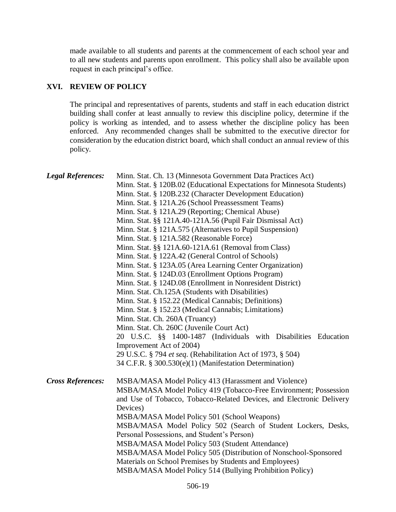made available to all students and parents at the commencement of each school year and to all new students and parents upon enrollment. This policy shall also be available upon request in each principal's office.

## **XVI. REVIEW OF POLICY**

The principal and representatives of parents, students and staff in each education district building shall confer at least annually to review this discipline policy, determine if the policy is working as intended, and to assess whether the discipline policy has been enforced. Any recommended changes shall be submitted to the executive director for consideration by the education district board, which shall conduct an annual review of this policy.

| <b>Legal References:</b> | Minn. Stat. Ch. 13 (Minnesota Government Data Practices Act)<br>Minn. Stat. § 120B.02 (Educational Expectations for Minnesota Students)<br>Minn. Stat. § 120B.232 (Character Development Education)<br>Minn. Stat. § 121A.26 (School Preassessment Teams)<br>Minn. Stat. § 121A.29 (Reporting; Chemical Abuse)<br>Minn. Stat. §§ 121A.40-121A.56 (Pupil Fair Dismissal Act)<br>Minn. Stat. § 121A.575 (Alternatives to Pupil Suspension)<br>Minn. Stat. § 121A.582 (Reasonable Force)<br>Minn. Stat. §§ 121A.60-121A.61 (Removal from Class)<br>Minn. Stat. § 122A.42 (General Control of Schools)<br>Minn. Stat. § 123A.05 (Area Learning Center Organization)<br>Minn. Stat. § 124D.03 (Enrollment Options Program)<br>Minn. Stat. § 124D.08 (Enrollment in Nonresident District)<br>Minn. Stat. Ch.125A (Students with Disabilities)<br>Minn. Stat. § 152.22 (Medical Cannabis; Definitions)<br>Minn. Stat. § 152.23 (Medical Cannabis; Limitations)<br>Minn. Stat. Ch. 260A (Truancy)<br>Minn. Stat. Ch. 260C (Juvenile Court Act)<br>20 U.S.C. §§ 1400-1487 (Individuals with Disabilities Education<br>Improvement Act of 2004)<br>29 U.S.C. § 794 et seq. (Rehabilitation Act of 1973, § 504) |
|--------------------------|------------------------------------------------------------------------------------------------------------------------------------------------------------------------------------------------------------------------------------------------------------------------------------------------------------------------------------------------------------------------------------------------------------------------------------------------------------------------------------------------------------------------------------------------------------------------------------------------------------------------------------------------------------------------------------------------------------------------------------------------------------------------------------------------------------------------------------------------------------------------------------------------------------------------------------------------------------------------------------------------------------------------------------------------------------------------------------------------------------------------------------------------------------------------------------------------------|
| <b>Cross References:</b> | 34 C.F.R. § 300.530(e)(1) (Manifestation Determination)<br>MSBA/MASA Model Policy 413 (Harassment and Violence)<br>MSBA/MASA Model Policy 419 (Tobacco-Free Environment; Possession<br>and Use of Tobacco, Tobacco-Related Devices, and Electronic Delivery<br>Devices)<br>MSBA/MASA Model Policy 501 (School Weapons)<br>MSBA/MASA Model Policy 502 (Search of Student Lockers, Desks,<br>Personal Possessions, and Student's Person)<br>MSBA/MASA Model Policy 503 (Student Attendance)<br>MSBA/MASA Model Policy 505 (Distribution of Nonschool-Sponsored<br>Materials on School Premises by Students and Employees)<br>MSBA/MASA Model Policy 514 (Bullying Prohibition Policy)                                                                                                                                                                                                                                                                                                                                                                                                                                                                                                                  |